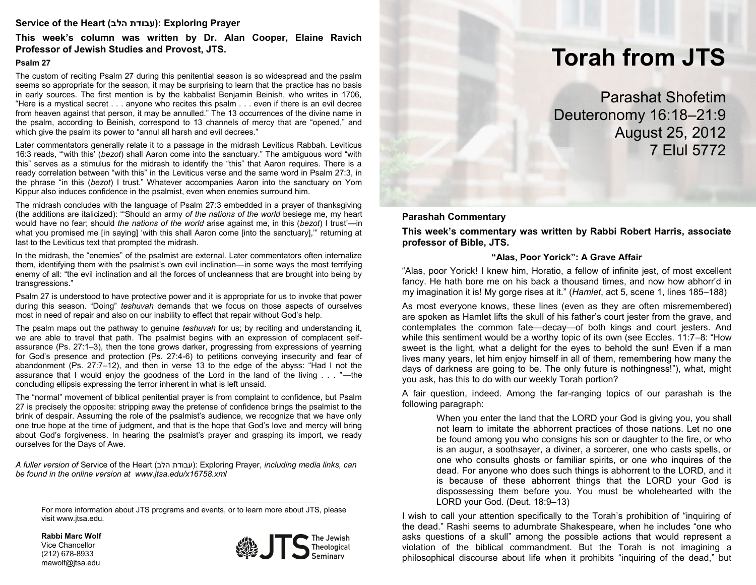## **Service of the Heart (הלב עבודת(: Exploring Prayer**

**This week's column was written by Dr. Alan Cooper, Elaine Ravich Professor of Jewish Studies and Provost, JTS.**

#### **Psalm 27**

The custom of reciting Psalm 27 during this penitential season is so widespread and the psalm seems so appropriate for the season, it may be surprising to learn that the practice has no basis in early sources. The first mention is by the kabbalist Benjamin Beinish, who writes in 1706, "Here is a mystical secret . . . anyone who recites this psalm . . . even if there is an evil decree from heaven against that person, it may be annulled." The 13 occurrences of the divine name in the psalm, according to Beinish, correspond to 13 channels of mercy that are "opened," and which give the psalm its power to "annul all harsh and evil decrees."

Later commentators generally relate it to a passage in the midrash Leviticus Rabbah. Leviticus 16:3 reads, "'with this' (*bezot*) shall Aaron come into the sanctuary." The ambiguous word "with this" serves as a stimulus for the midrash to identify the "this" that Aaron requires. There is a ready correlation between "with this" in the Leviticus verse and the same word in Psalm 27:3, in the phrase "in this (*bezot*) I trust." Whatever accompanies Aaron into the sanctuary on Yom Kippur also induces confidence in the psalmist, even when enemies surround him.

The midrash concludes with the language of Psalm 27:3 embedded in a prayer of thanksgiving (the additions are italicized): "'Should an army *of the nations of the world* besiege me, my heart would have no fear; should *the nations of the world* arise against me, in this (*bezot*) I trust'—in what you promised me [in saying] 'with this shall Aaron come [into the sanctuary],'" returning at last to the Leviticus text that prompted the midrash.

In the midrash, the "enemies" of the psalmist are external. Later commentators often internalize them, identifying them with the psalmist's own evil inclination—in some ways the most terrifying enemy of all: "the evil inclination and all the forces of uncleanness that are brought into being by transgressions."

Psalm 27 is understood to have protective power and it is appropriate for us to invoke that power during this season. "Doing" *teshuvah* demands that we focus on those aspects of ourselves most in need of repair and also on our inability to effect that repair without God's help.

The psalm maps out the pathway to genuine *teshuvah* for us; by reciting and understanding it, we are able to travel that path. The psalmist begins with an expression of complacent selfassurance (Ps. 27:1–3), then the tone grows darker, progressing from expressions of yearning for God's presence and protection (Ps. 27:4-6) to petitions conveying insecurity and fear of abandonment (Ps. 27:7–12), and then in verse 13 to the edge of the abyss: "Had I not the assurance that I would enjoy the goodness of the Lord in the land of the living . . . "—the concluding ellipsis expressing the terror inherent in what is left unsaid.

The "normal" movement of biblical penitential prayer is from complaint to confidence, but Psalm 27 is precisely the opposite: stripping away the pretense of confidence brings the psalmist to the brink of despair. Assuming the role of the psalmist's audience, we recognize that we have only one true hope at the time of judgment, and that is the hope that God's love and mercy will bring about God's forgiveness. In hearing the psalmist's prayer and grasping its import, we ready ourselves for the Days of Awe.

A fuller version of Service of the Heart (עבודת הלב): Exploring Prayer, *including media links*, can *be found in the online version at www.jtsa.edu/x16758.xml*

For more information about JTS programs and events, or to learn more about JTS, please visit www.jtsa.edu.

**Rabbi Marc Wolf** Vice Chancellor (212) 678-8933 mawolf@jtsa.edu



# **Torah from JTS**

Parashat Shofetim Deuteronomy 16:18–21:9 August 25, 2012 7 Elul 5772

**Parashah Commentary**

**This week's commentary was written by Rabbi Robert Harris, associate professor of Bible, JTS.**

#### **"Alas, Poor Yorick": A Grave Affair**

"Alas, poor Yorick! I knew him, Horatio, a fellow of infinite jest, of most excellent fancy. He hath bore me on his back a thousand times, and now how abhorr'd in my imagination it is! My gorge rises at it." (*Hamlet*, act 5, scene 1, lines 185–188)

As most everyone knows, these lines (even as they are often misremembered) are spoken as Hamlet lifts the skull of his father's court jester from the grave, and contemplates the common fate—decay—of both kings and court jesters. And while this sentiment would be a worthy topic of its own (see Eccles. 11:7–8: "How sweet is the light, what a delight for the eyes to behold the sun! Even if a man lives many years, let him enjoy himself in all of them, remembering how many the days of darkness are going to be. The only future is nothingness!"), what, might you ask, has this to do with our weekly Torah portion?

A fair question, indeed. Among the far-ranging topics of our parashah is the following paragraph:

> When you enter the land that the LORD your God is giving you, you shall not learn to imitate the abhorrent practices of those nations. Let no one be found among you who consigns his son or daughter to the fire, or who is an augur, a soothsayer, a diviner, a sorcerer, one who casts spells, or one who consults ghosts or familiar spirits, or one who inquires of the dead. For anyone who does such things is abhorrent to the LORD, and it is because of these abhorrent things that the LORD your God is dispossessing them before you. You must be wholehearted with the LORD your God. (Deut. 18:9–13)

I wish to call your attention specifically to the Torah's prohibition of "inquiring of the dead." Rashi seems to adumbrate Shakespeare, when he includes "one who asks questions of a skull" among the possible actions that would represent a violation of the biblical commandment. But the Torah is not imagining a philosophical discourse about life when it prohibits "inquiring of the dead," but